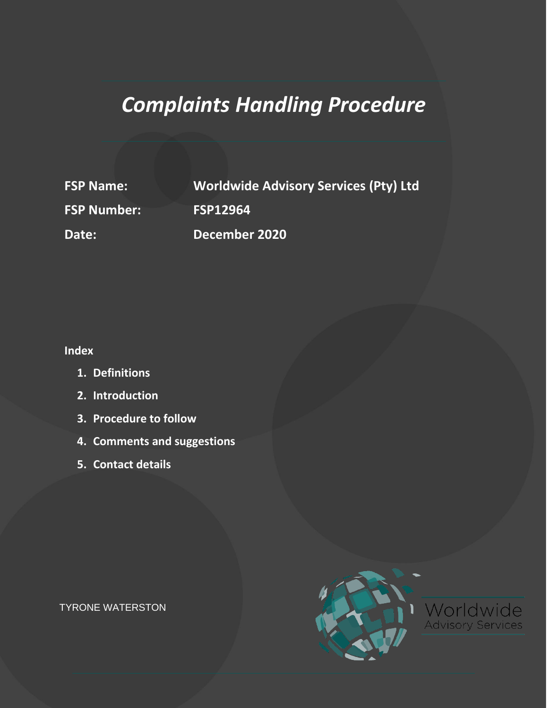# *Complaints Handling Procedure*

**FSP Name: Worldwide Advisory Services (Pty) Ltd FSP Number: FSP12964 Date: December 2020**

**Index**

- **1. Definitions**
- **2. Introduction**
- **3. Procedure to follow**
- **4. Comments and suggestions**
- **5. Contact details**

Advisory

TYRONE WATERSTON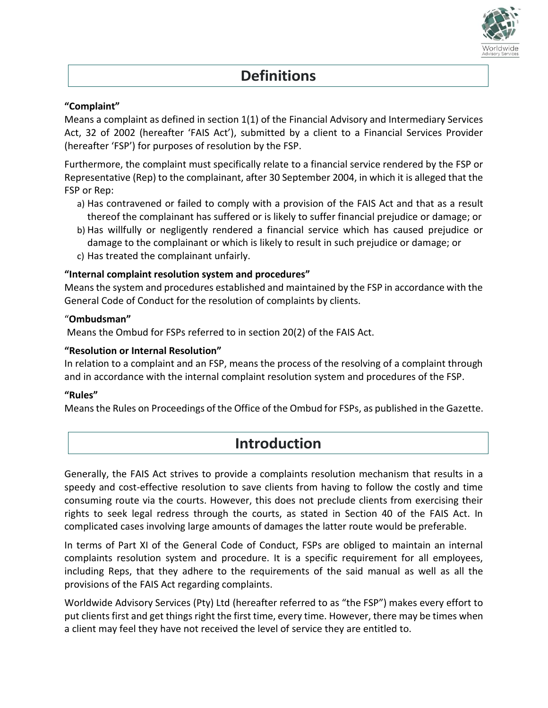

## **Definitions**

### **"Complaint"**

Means a complaint as defined in section 1(1) of the Financial Advisory and Intermediary Services Act, 32 of 2002 (hereafter 'FAIS Act'), submitted by a client to a Financial Services Provider (hereafter 'FSP') for purposes of resolution by the FSP.

Furthermore, the complaint must specifically relate to a financial service rendered by the FSP or Representative (Rep) to the complainant, after 30 September 2004, in which it is alleged that the FSP or Rep:

- a) Has contravened or failed to comply with a provision of the FAIS Act and that as a result thereof the complainant has suffered or is likely to suffer financial prejudice or damage; or
- b) Has willfully or negligently rendered a financial service which has caused prejudice or damage to the complainant or which is likely to result in such prejudice or damage; or
- c) Has treated the complainant unfairly.

## **"Internal complaint resolution system and procedures"**

Means the system and procedures established and maintained by the FSP in accordance with the General Code of Conduct for the resolution of complaints by clients.

### "**Ombudsman"**

Means the Ombud for FSPs referred to in section 20(2) of the FAIS Act.

## **"Resolution or Internal Resolution"**

In relation to a complaint and an FSP, means the process of the resolving of a complaint through and in accordance with the internal complaint resolution system and procedures of the FSP.

### **"Rules"**

Means the Rules on Proceedings of the Office of the Ombud for FSPs, as published in the Gazette.

## **Introduction**

Generally, the FAIS Act strives to provide a complaints resolution mechanism that results in a speedy and cost-effective resolution to save clients from having to follow the costly and time consuming route via the courts. However, this does not preclude clients from exercising their rights to seek legal redress through the courts, as stated in Section 40 of the FAIS Act. In complicated cases involving large amounts of damages the latter route would be preferable.

In terms of Part XI of the General Code of Conduct, FSPs are obliged to maintain an internal complaints resolution system and procedure. It is a specific requirement for all employees, including Reps, that they adhere to the requirements of the said manual as well as all the provisions of the FAIS Act regarding complaints.

Worldwide Advisory Services (Pty) Ltd (hereafter referred to as "the FSP") makes every effort to put clients first and get things right the first time, every time. However, there may be times when a client may feel they have not received the level of service they are entitled to.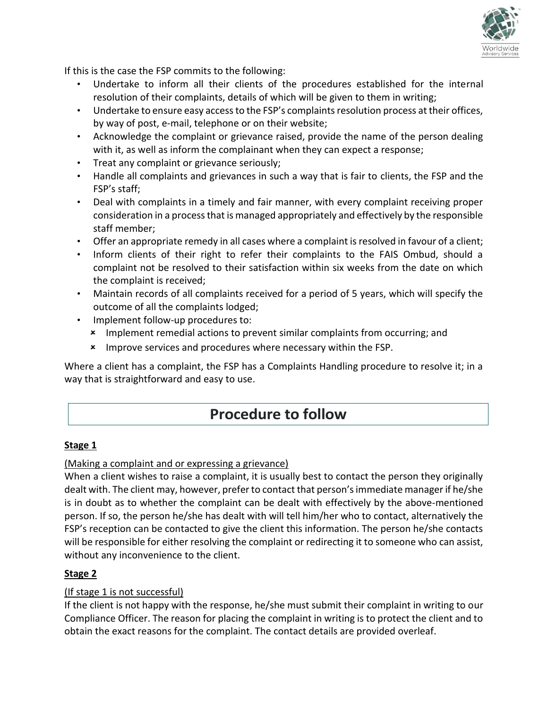

If this is the case the FSP commits to the following:

- Undertake to inform all their clients of the procedures established for the internal resolution of their complaints, details of which will be given to them in writing;
- Undertake to ensure easy access to the FSP's complaints resolution process at their offices, by way of post, e-mail, telephone or on their website;
- Acknowledge the complaint or grievance raised, provide the name of the person dealing with it, as well as inform the complainant when they can expect a response;
- Treat any complaint or grievance seriously;
- Handle all complaints and grievances in such a way that is fair to clients, the FSP and the FSP's staff;
- Deal with complaints in a timely and fair manner, with every complaint receiving proper consideration in a process that is managed appropriately and effectively by the responsible staff member;
- Offer an appropriate remedy in all cases where a complaint is resolved in favour of a client;
- Inform clients of their right to refer their complaints to the FAIS Ombud, should a complaint not be resolved to their satisfaction within six weeks from the date on which the complaint is received;
- Maintain records of all complaints received for a period of 5 years, which will specify the outcome of all the complaints lodged;
- Implement follow-up procedures to:
	- \* Implement remedial actions to prevent similar complaints from occurring; and
	- Improve services and procedures where necessary within the FSP.

Where a client has a complaint, the FSP has a Complaints Handling procedure to resolve it; in a way that is straightforward and easy to use.

## **Procedure to follow**

### **Stage 1**

### (Making a complaint and or expressing a grievance)

When a client wishes to raise a complaint, it is usually best to contact the person they originally dealt with. The client may, however, prefer to contact that person's immediate manager if he/she is in doubt as to whether the complaint can be dealt with effectively by the above-mentioned person. If so, the person he/she has dealt with will tell him/her who to contact, alternatively the FSP's reception can be contacted to give the client this information. The person he/she contacts will be responsible for either resolving the complaint or redirecting it to someone who can assist, without any inconvenience to the client.

### **Stage 2**

### (If stage 1 is not successful)

If the client is not happy with the response, he/she must submit their complaint in writing to our Compliance Officer. The reason for placing the complaint in writing is to protect the client and to obtain the exact reasons for the complaint. The contact details are provided overleaf.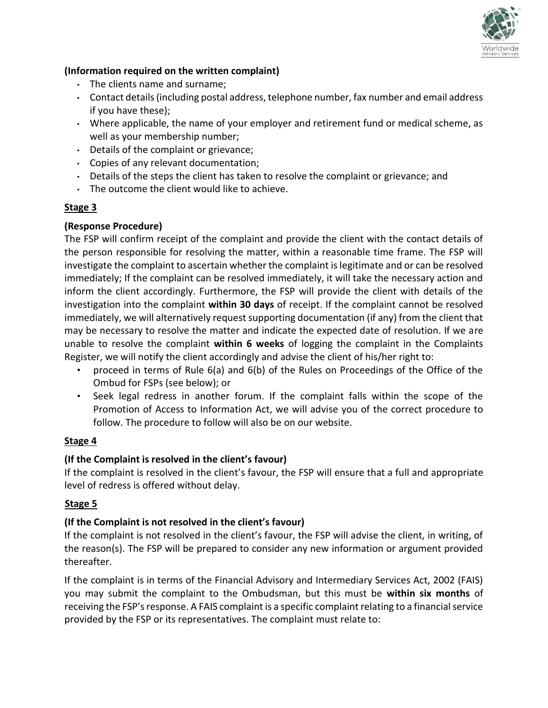

## **(Information required on the written complaint)**

- The clients name and surname;
- Contact details (including postal address, telephone number, fax number and email address if you have these);
- Where applicable, the name of your employer and retirement fund or medical scheme, as well as your membership number;
- Details of the complaint or grievance;
- Copies of any relevant documentation;
- Details of the steps the client has taken to resolve the complaint or grievance; and
- The outcome the client would like to achieve.

### **Stage 3**

### **(Response Procedure)**

The FSP will confirm receipt of the complaint and provide the client with the contact details of the person responsible for resolving the matter, within a reasonable time frame. The FSP will investigate the complaint to ascertain whether the complaint is legitimate and or can be resolved immediately; If the complaint can be resolved immediately, it will take the necessary action and inform the client accordingly. Furthermore, the FSP will provide the client with details of the investigation into the complaint **within 30 days** of receipt. If the complaint cannot be resolved immediately, we will alternatively request supporting documentation (if any) from the client that may be necessary to resolve the matter and indicate the expected date of resolution. If we are unable to resolve the complaint **within 6 weeks** of logging the complaint in the Complaints Register, we will notify the client accordingly and advise the client of his/her right to:

- proceed in terms of Rule 6(a) and 6(b) of the Rules on Proceedings of the Office of the Ombud for FSPs (see below); or
- Seek legal redress in another forum. If the complaint falls within the scope of the Promotion of Access to Information Act, we will advise you of the correct procedure to follow. The procedure to follow will also be on our website.

### **Stage 4**

## **(If the Complaint is resolved in the client's favour)**

If the complaint is resolved in the client's favour, the FSP will ensure that a full and appropriate level of redress is offered without delay.

### **Stage 5**

## **(If the Complaint is not resolved in the client's favour)**

If the complaint is not resolved in the client's favour, the FSP will advise the client, in writing, of the reason(s). The FSP will be prepared to consider any new information or argument provided thereafter.

If the complaint is in terms of the Financial Advisory and Intermediary Services Act, 2002 (FAIS) you may submit the complaint to the Ombudsman, but this must be **within six months** of receiving the FSP's response. A FAIS complaint is a specific complaint relating to a financial service provided by the FSP or its representatives. The complaint must relate to: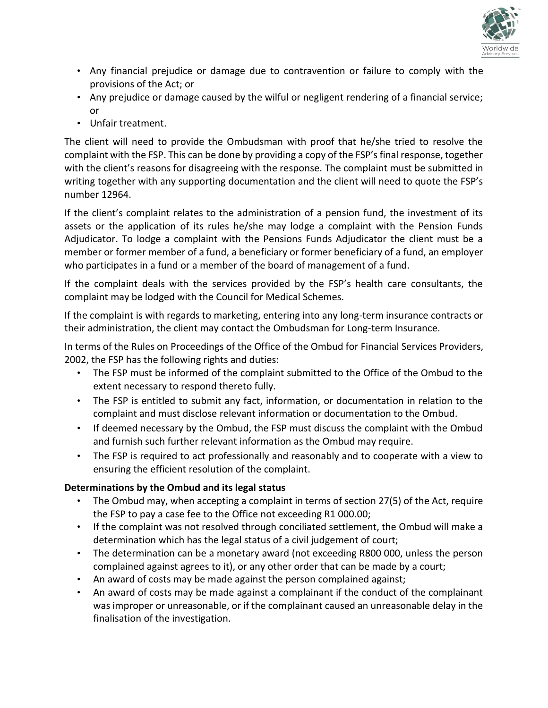

- Any financial prejudice or damage due to contravention or failure to comply with the provisions of the Act; or
- Any prejudice or damage caused by the wilful or negligent rendering of a financial service; or
- Unfair treatment.

The client will need to provide the Ombudsman with proof that he/she tried to resolve the complaint with the FSP. This can be done by providing a copy of the FSP's final response, together with the client's reasons for disagreeing with the response. The complaint must be submitted in writing together with any supporting documentation and the client will need to quote the FSP's number 12964.

If the client's complaint relates to the administration of a pension fund, the investment of its assets or the application of its rules he/she may lodge a complaint with the Pension Funds Adjudicator. To lodge a complaint with the Pensions Funds Adjudicator the client must be a member or former member of a fund, a beneficiary or former beneficiary of a fund, an employer who participates in a fund or a member of the board of management of a fund.

If the complaint deals with the services provided by the FSP's health care consultants, the complaint may be lodged with the Council for Medical Schemes.

If the complaint is with regards to marketing, entering into any long-term insurance contracts or their administration, the client may contact the Ombudsman for Long-term Insurance.

In terms of the Rules on Proceedings of the Office of the Ombud for Financial Services Providers, 2002, the FSP has the following rights and duties:

- The FSP must be informed of the complaint submitted to the Office of the Ombud to the extent necessary to respond thereto fully.
- The FSP is entitled to submit any fact, information, or documentation in relation to the complaint and must disclose relevant information or documentation to the Ombud.
- If deemed necessary by the Ombud, the FSP must discuss the complaint with the Ombud and furnish such further relevant information as the Ombud may require.
- The FSP is required to act professionally and reasonably and to cooperate with a view to ensuring the efficient resolution of the complaint.

## **Determinations by the Ombud and its legal status**

- The Ombud may, when accepting a complaint in terms of section 27(5) of the Act, require the FSP to pay a case fee to the Office not exceeding R1 000.00;
- If the complaint was not resolved through conciliated settlement, the Ombud will make a determination which has the legal status of a civil judgement of court;
- The determination can be a monetary award (not exceeding R800 000, unless the person complained against agrees to it), or any other order that can be made by a court;
- An award of costs may be made against the person complained against;
- An award of costs may be made against a complainant if the conduct of the complainant was improper or unreasonable, or if the complainant caused an unreasonable delay in the finalisation of the investigation.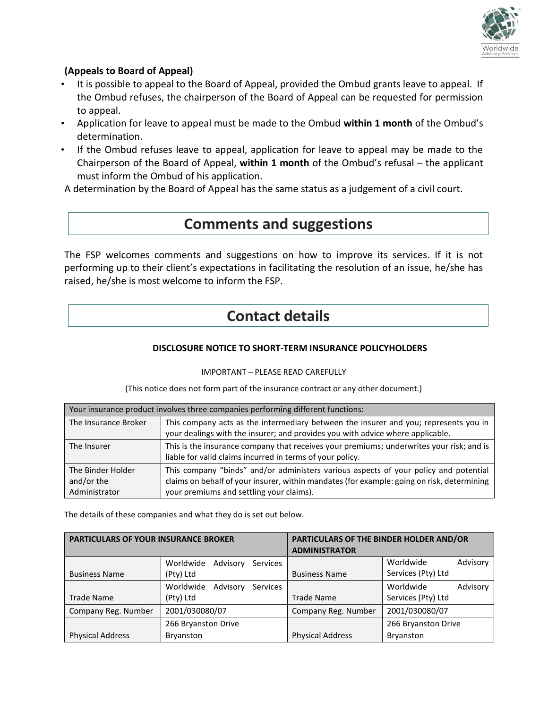

### **(Appeals to Board of Appeal)**

- It is possible to appeal to the Board of Appeal, provided the Ombud grants leave to appeal. If the Ombud refuses, the chairperson of the Board of Appeal can be requested for permission to appeal.
- Application for leave to appeal must be made to the Ombud **within 1 month** of the Ombud's determination.
- If the Ombud refuses leave to appeal, application for leave to appeal may be made to the Chairperson of the Board of Appeal, **within 1 month** of the Ombud's refusal – the applicant must inform the Ombud of his application.

A determination by the Board of Appeal has the same status as a judgement of a civil court.

## **Comments and suggestions**

The FSP welcomes comments and suggestions on how to improve its services. If it is not performing up to their client's expectations in facilitating the resolution of an issue, he/she has raised, he/she is most welcome to inform the FSP.

## **Contact details**

#### **DISCLOSURE NOTICE TO SHORT-TERM INSURANCE POLICYHOLDERS**

#### IMPORTANT – PLEASE READ CAREFULLY

(This notice does not form part of the insurance contract or any other document.)

| Your insurance product involves three companies performing different functions: |                                                                                                                                                                                                                                |  |  |  |  |  |  |
|---------------------------------------------------------------------------------|--------------------------------------------------------------------------------------------------------------------------------------------------------------------------------------------------------------------------------|--|--|--|--|--|--|
| The Insurance Broker                                                            | This company acts as the intermediary between the insurer and you; represents you in<br>your dealings with the insurer; and provides you with advice where applicable.                                                         |  |  |  |  |  |  |
| The Insurer                                                                     | This is the insurance company that receives your premiums; underwrites your risk; and is<br>liable for valid claims incurred in terms of your policy.                                                                          |  |  |  |  |  |  |
| The Binder Holder<br>and/or the<br>Administrator                                | This company "binds" and/or administers various aspects of your policy and potential<br>claims on behalf of your insurer, within mandates (for example: going on risk, determining<br>your premiums and settling your claims). |  |  |  |  |  |  |

The details of these companies and what they do is set out below.

| <b>PARTICULARS OF YOUR INSURANCE BROKER</b> |                                          | PARTICULARS OF THE BINDER HOLDER AND/OR<br><b>ADMINISTRATOR</b> |                       |  |  |  |  |
|---------------------------------------------|------------------------------------------|-----------------------------------------------------------------|-----------------------|--|--|--|--|
|                                             | Worldwide<br>Advisory<br><b>Services</b> |                                                                 | Worldwide<br>Advisory |  |  |  |  |
| <b>Business Name</b>                        | (Pty) Ltd                                | <b>Business Name</b>                                            | Services (Pty) Ltd    |  |  |  |  |
|                                             | Worldwide<br>Advisory<br><b>Services</b> |                                                                 | Worldwide<br>Advisory |  |  |  |  |
| <b>Trade Name</b>                           | (Pty) Ltd                                | <b>Trade Name</b>                                               | Services (Pty) Ltd    |  |  |  |  |
| Company Reg. Number                         | 2001/030080/07                           | Company Reg. Number                                             | 2001/030080/07        |  |  |  |  |
|                                             | 266 Bryanston Drive                      |                                                                 | 266 Bryanston Drive   |  |  |  |  |
| <b>Physical Address</b>                     | Bryanston                                | <b>Physical Address</b>                                         | Bryanston             |  |  |  |  |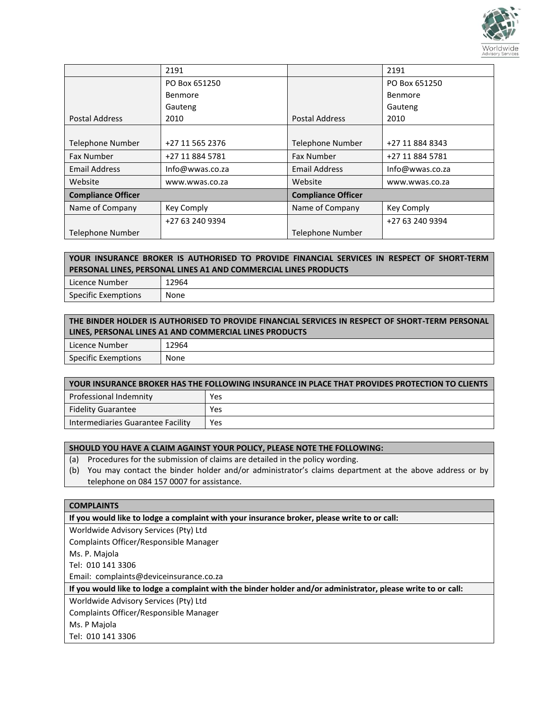

|                           | 2191            |                           | 2191            |  |  |
|---------------------------|-----------------|---------------------------|-----------------|--|--|
|                           | PO Box 651250   |                           | PO Box 651250   |  |  |
|                           | Benmore         |                           | Benmore         |  |  |
|                           | Gauteng         |                           | Gauteng         |  |  |
| <b>Postal Address</b>     | 2010            | <b>Postal Address</b>     | 2010            |  |  |
|                           |                 |                           |                 |  |  |
| <b>Telephone Number</b>   | +27 11 565 2376 | <b>Telephone Number</b>   | +27 11 884 8343 |  |  |
| <b>Fax Number</b>         | +27 11 884 5781 | <b>Fax Number</b>         | +27 11 884 5781 |  |  |
| <b>Email Address</b>      | Info@wwas.co.za | <b>Email Address</b>      | Info@wwas.co.za |  |  |
| Website                   | www.wwas.co.za  |                           | www.wwas.co.za  |  |  |
| <b>Compliance Officer</b> |                 | <b>Compliance Officer</b> |                 |  |  |
| Name of Company           | Key Comply      | Name of Company           | Key Comply      |  |  |
|                           | +27 63 240 9394 |                           | +27 63 240 9394 |  |  |
| <b>Telephone Number</b>   |                 | Telephone Number          |                 |  |  |

#### **YOUR INSURANCE BROKER IS AUTHORISED TO PROVIDE FINANCIAL SERVICES IN RESPECT OF SHORT-TERM PERSONAL LINES, PERSONAL LINES A1 AND COMMERCIAL LINES PRODUCTS**

| Licence Number             | 12964 |
|----------------------------|-------|
| <b>Specific Exemptions</b> | None  |

| THE BINDER HOLDER IS AUTHORISED TO PROVIDE FINANCIAL SERVICES IN RESPECT OF SHORT-TERM PERSONAL<br>LINES, PERSONAL LINES A1 AND COMMERCIAL LINES PRODUCTS |       |  |  |  |  |  |  |
|-----------------------------------------------------------------------------------------------------------------------------------------------------------|-------|--|--|--|--|--|--|
| Licence Number                                                                                                                                            | 12964 |  |  |  |  |  |  |
| Specific Exemptions                                                                                                                                       | None  |  |  |  |  |  |  |

| YOUR INSURANCE BROKER HAS THE FOLLOWING INSURANCE IN PLACE THAT PROVIDES PROTECTION TO CLIENTS |            |  |  |  |  |  |  |  |
|------------------------------------------------------------------------------------------------|------------|--|--|--|--|--|--|--|
| Professional Indemnity                                                                         | Yes        |  |  |  |  |  |  |  |
| <b>Fidelity Guarantee</b>                                                                      | Yes        |  |  |  |  |  |  |  |
| Intermediaries Guarantee Facility                                                              | <b>Yes</b> |  |  |  |  |  |  |  |

#### **SHOULD YOU HAVE A CLAIM AGAINST YOUR POLICY, PLEASE NOTE THE FOLLOWING:**

- (a) Procedures for the submission of claims are detailed in the policy wording.
- (b) You may contact the binder holder and/or administrator's claims department at the above address or by telephone on 084 157 0007 for assistance.

#### **COMPLAINTS**

**If you would like to lodge a complaint with your insurance broker, please write to or call:**

Worldwide Advisory Services (Pty) Ltd

Complaints Officer/Responsible Manager

Ms. P. Majola

Tel: 010 141 3306

Email: complaints@deviceinsurance.co.za

**If you would like to lodge a complaint with the binder holder and/or administrator, please write to or call:**

Worldwide Advisory Services (Pty) Ltd

Complaints Officer/Responsible Manager

Ms. P Majola

Tel: 010 141 3306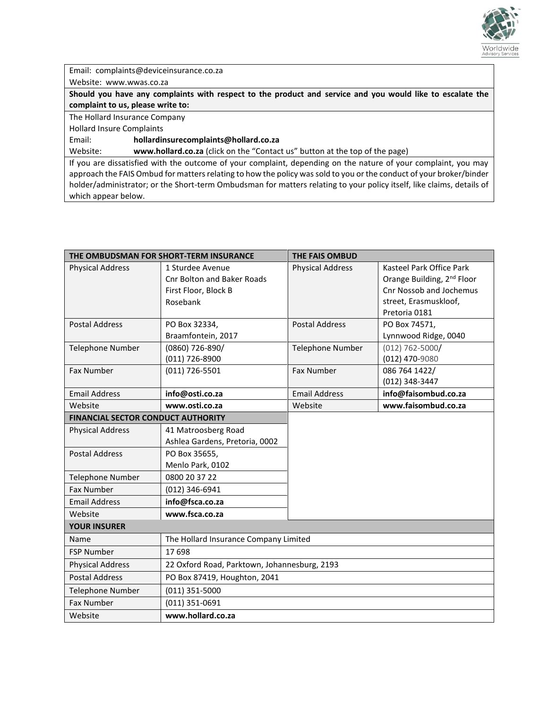

Email: complaints@deviceinsurance.co.za

Website: www.wwas.co.za

**Should you have any complaints with respect to the product and service and you would like to escalate the complaint to us, please write to:**

The Hollard Insurance Company

Hollard Insure Complaints

Email: **hollardinsurecomplaints@hollard.co.za**

Website: **[www.hollard.co.za](http://www.hollard.co.za/)** (click on the "Contact us" button at the top of the page)

If you are dissatisfied with the outcome of your complaint, depending on the nature of your complaint, you may approach the FAIS Ombud for matters relating to how the policy was sold to you or the conduct of your broker/binder holder/administrator; or the Short-term Ombudsman for matters relating to your policy itself, like claims, details of which appear below.

|                                           | THE OMBUDSMAN FOR SHORT-TERM INSURANCE       | <b>THE FAIS OMBUD</b>   |                                        |
|-------------------------------------------|----------------------------------------------|-------------------------|----------------------------------------|
| <b>Physical Address</b>                   | 1 Sturdee Avenue                             | <b>Physical Address</b> | Kasteel Park Office Park               |
|                                           | <b>Cnr Bolton and Baker Roads</b>            |                         | Orange Building, 2 <sup>nd</sup> Floor |
|                                           | First Floor, Block B                         |                         | Cnr Nossob and Jochemus                |
|                                           | Rosebank                                     |                         | street, Erasmuskloof,                  |
|                                           |                                              |                         | Pretoria 0181                          |
| <b>Postal Address</b>                     | PO Box 32334,                                | <b>Postal Address</b>   | PO Box 74571,                          |
|                                           | Braamfontein, 2017                           |                         | Lynnwood Ridge, 0040                   |
| <b>Telephone Number</b>                   | (0860) 726-890/                              | <b>Telephone Number</b> | $(012)$ 762-5000/                      |
|                                           | (011) 726-8900                               |                         | (012) 470-9080                         |
| <b>Fax Number</b>                         | $(011) 726 - 5501$                           | <b>Fax Number</b>       | 086 764 1422/                          |
|                                           |                                              |                         | (012) 348-3447                         |
| <b>Email Address</b>                      | info@osti.co.za                              | <b>Email Address</b>    | info@faisombud.co.za                   |
| Website                                   | www.osti.co.za                               | Website                 | www.faisombud.co.za                    |
| <b>FINANCIAL SECTOR CONDUCT AUTHORITY</b> |                                              |                         |                                        |
| <b>Physical Address</b>                   | 41 Matroosberg Road                          |                         |                                        |
|                                           | Ashlea Gardens, Pretoria, 0002               |                         |                                        |
| <b>Postal Address</b>                     | PO Box 35655,                                |                         |                                        |
|                                           | Menlo Park, 0102                             |                         |                                        |
| <b>Telephone Number</b>                   | 0800 20 37 22                                |                         |                                        |
| <b>Fax Number</b>                         | (012) 346-6941                               |                         |                                        |
| <b>Email Address</b>                      | info@fsca.co.za                              |                         |                                        |
| Website                                   | www.fsca.co.za                               |                         |                                        |
| <b>YOUR INSURER</b>                       |                                              |                         |                                        |
| Name                                      | The Hollard Insurance Company Limited        |                         |                                        |
| <b>FSP Number</b>                         | 17698                                        |                         |                                        |
| <b>Physical Address</b>                   | 22 Oxford Road, Parktown, Johannesburg, 2193 |                         |                                        |
| <b>Postal Address</b>                     | PO Box 87419, Houghton, 2041                 |                         |                                        |
| <b>Telephone Number</b>                   | $(011)$ 351-5000                             |                         |                                        |
| <b>Fax Number</b>                         | $(011)$ 351-0691                             |                         |                                        |
| Website                                   | www.hollard.co.za                            |                         |                                        |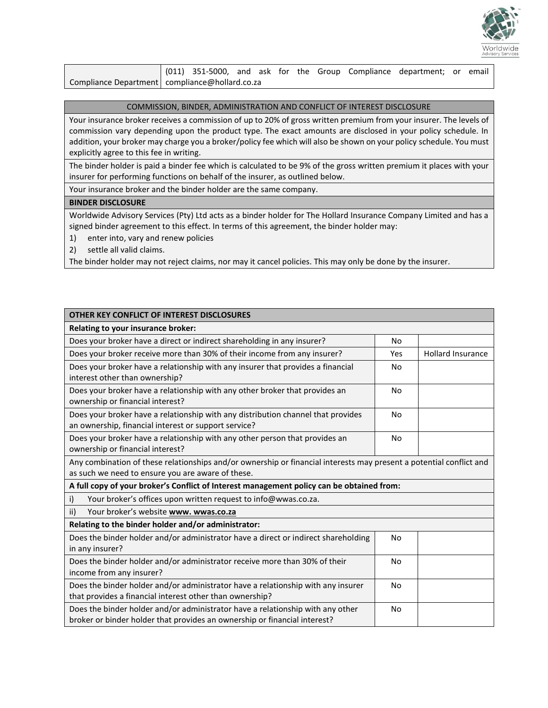

|                                                  |  |  |  |  | (011) 351-5000, and ask for the Group Compliance department; or email |  |
|--------------------------------------------------|--|--|--|--|-----------------------------------------------------------------------|--|
| Compliance Department   compliance@hollard.co.za |  |  |  |  |                                                                       |  |

| COMMISSION, BINDER, ADMINISTRATION AND CONFLICT OF INTEREST DISCLOSURE                                             |
|--------------------------------------------------------------------------------------------------------------------|
| Your insurance broker receives a commission of up to 20% of gross written premium from your insurer. The levels of |
| commission vary depending upon the product type. The exact amounts are disclosed in your policy schedule. In       |

addition, your broker may charge you a broker/policy fee which will also be shown on your policy schedule. You must explicitly agree to this fee in writing. The binder holder is paid a binder fee which is calculated to be 9% of the gross written premium it places with your

insurer for performing functions on behalf of the insurer, as outlined below.

Your insurance broker and the binder holder are the same company.

#### **BINDER DISCLOSURE**

Worldwide Advisory Services (Pty) Ltd acts as a binder holder for The Hollard Insurance Company Limited and has a signed binder agreement to this effect. In terms of this agreement, the binder holder may:

- 1) enter into, vary and renew policies
- 2) settle all valid claims.

The binder holder may not reject claims, nor may it cancel policies. This may only be done by the insurer.

| OTHER KEY CONFLICT OF INTEREST DISCLOSURES                                                                                                                               |           |                          |  |  |  |  |  |  |
|--------------------------------------------------------------------------------------------------------------------------------------------------------------------------|-----------|--------------------------|--|--|--|--|--|--|
| Relating to your insurance broker:                                                                                                                                       |           |                          |  |  |  |  |  |  |
| Does your broker have a direct or indirect shareholding in any insurer?                                                                                                  | No        |                          |  |  |  |  |  |  |
| Does your broker receive more than 30% of their income from any insurer?                                                                                                 | Yes       | <b>Hollard Insurance</b> |  |  |  |  |  |  |
| Does your broker have a relationship with any insurer that provides a financial<br>interest other than ownership?                                                        | No        |                          |  |  |  |  |  |  |
| Does your broker have a relationship with any other broker that provides an<br>ownership or financial interest?                                                          | <b>No</b> |                          |  |  |  |  |  |  |
| Does your broker have a relationship with any distribution channel that provides<br>an ownership, financial interest or support service?                                 | <b>No</b> |                          |  |  |  |  |  |  |
| Does your broker have a relationship with any other person that provides an<br>ownership or financial interest?                                                          | No        |                          |  |  |  |  |  |  |
| Any combination of these relationships and/or ownership or financial interests may present a potential conflict and<br>as such we need to ensure you are aware of these. |           |                          |  |  |  |  |  |  |
| A full copy of your broker's Conflict of Interest management policy can be obtained from:                                                                                |           |                          |  |  |  |  |  |  |
| Your broker's offices upon written request to info@wwas.co.za.<br>i)                                                                                                     |           |                          |  |  |  |  |  |  |
| Your broker's website www. wwas.co.za<br>ii)                                                                                                                             |           |                          |  |  |  |  |  |  |
| Relating to the binder holder and/or administrator:                                                                                                                      |           |                          |  |  |  |  |  |  |
| Does the binder holder and/or administrator have a direct or indirect shareholding<br>in any insurer?                                                                    | No        |                          |  |  |  |  |  |  |
| Does the binder holder and/or administrator receive more than 30% of their<br>income from any insurer?                                                                   | No        |                          |  |  |  |  |  |  |
| Does the binder holder and/or administrator have a relationship with any insurer<br>that provides a financial interest other than ownership?                             | No        |                          |  |  |  |  |  |  |
| Does the binder holder and/or administrator have a relationship with any other<br>broker or binder holder that provides an ownership or financial interest?              | <b>No</b> |                          |  |  |  |  |  |  |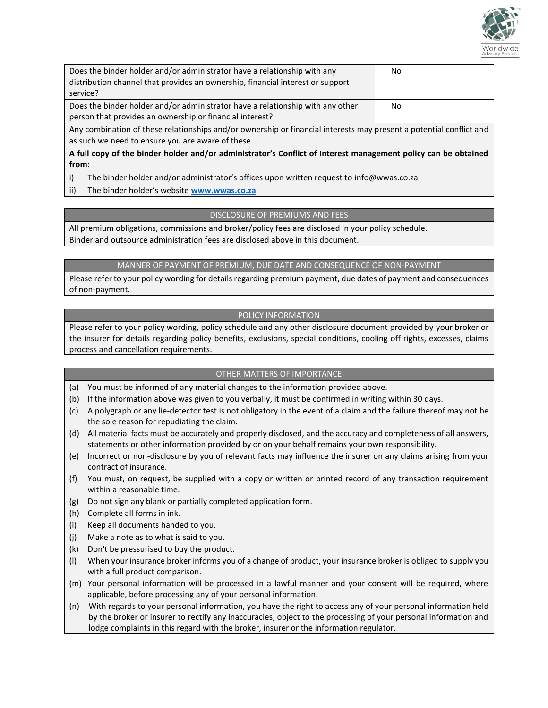

| Does the binder holder and/or administrator have a relationship with any<br>distribution channel that provides an ownership, financial interest or support<br>service?   | No. |  |
|--------------------------------------------------------------------------------------------------------------------------------------------------------------------------|-----|--|
| Does the binder holder and/or administrator have a relationship with any other<br>person that provides an ownership or financial interest?                               | No. |  |
| Any combination of these relationships and/or ownership or financial interests may present a potential conflict and<br>as such we need to ensure you are aware of these. |     |  |
| A full copy of the binder holder and/or administrator's Conflict of Interest management policy can be obtained<br>from:                                                  |     |  |

- i) The binder holder and/or administrator's offices upon written request to info@wwas.co.za
- ii) The binder holder's website **[www.wwas.co.za](http://www.wwas.co.za/)**

#### DISCLOSURE OF PREMIUMS AND FEES

All premium obligations, commissions and broker/policy fees are disclosed in your policy schedule. Binder and outsource administration fees are disclosed above in this document.

#### MANNER OF PAYMENT OF PREMIUM, DUE DATE AND CONSEQUENCE OF NON-PAYMENT

Please refer to your policy wording for details regarding premium payment, due dates of payment and consequences of non-payment.

#### POLICY INFORMATION

Please refer to your policy wording, policy schedule and any other disclosure document provided by your broker or the insurer for details regarding policy benefits, exclusions, special conditions, cooling off rights, excesses, claims process and cancellation requirements.

#### OTHER MATTERS OF IMPORTANCE

- (a) You must be informed of any material changes to the information provided above.
- (b) If the information above was given to you verbally, it must be confirmed in writing within 30 days.
- (c) A polygraph or any lie-detector test is not obligatory in the event of a claim and the failure thereof may not be the sole reason for repudiating the claim.
- (d) All material facts must be accurately and properly disclosed, and the accuracy and completeness of all answers, statements or other information provided by or on your behalf remains your own responsibility.
- (e) Incorrect or non-disclosure by you of relevant facts may influence the insurer on any claims arising from your contract of insurance.
- (f) You must, on request, be supplied with a copy or written or printed record of any transaction requirement within a reasonable time.
- (g) Do not sign any blank or partially completed application form.
- (h) Complete all forms in ink.
- (i) Keep all documents handed to you.
- (j) Make a note as to what is said to you.
- (k) Don't be pressurised to buy the product.
- (l) When your insurance broker informs you of a change of product, your insurance broker is obliged to supply you with a full product comparison.
- (m) Your personal information will be processed in a lawful manner and your consent will be required, where applicable, before processing any of your personal information.
- (n) With regards to your personal information, you have the right to access any of your personal information held by the broker or insurer to rectify any inaccuracies, object to the processing of your personal information and lodge complaints in this regard with the broker, insurer or the information regulator.